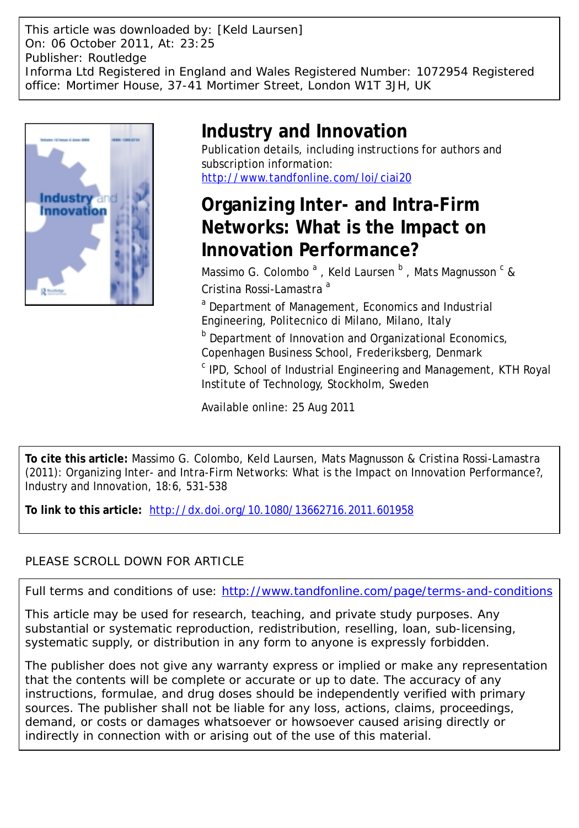This article was downloaded by: [Keld Laursen] On: 06 October 2011, At: 23:25 Publisher: Routledge Informa Ltd Registered in England and Wales Registered Number: 1072954 Registered office: Mortimer House, 37-41 Mortimer Street, London W1T 3JH, UK



## **Industry and Innovation**

Publication details, including instructions for authors and subscription information: <http://www.tandfonline.com/loi/ciai20>

## **Organizing Inter- and Intra-Firm Networks: What is the Impact on Innovation Performance?**

Massimo G. Colombo <sup>a</sup> , Keld Laursen <sup>b</sup> , Mats Magnusson <sup>c</sup> & Cristina Rossi-Lamastra<sup>a</sup>

<sup>a</sup> Department of Management, Economics and Industrial Engineering, Politecnico di Milano, Milano, Italy

**b** Department of Innovation and Organizational Economics, Copenhagen Business School, Frederiksberg, Denmark

<sup>c</sup> IPD, School of Industrial Engineering and Management, KTH Royal Institute of Technology, Stockholm, Sweden

Available online: 25 Aug 2011

**To cite this article:** Massimo G. Colombo, Keld Laursen, Mats Magnusson & Cristina Rossi-Lamastra (2011): Organizing Inter- and Intra-Firm Networks: What is the Impact on Innovation Performance?, Industry and Innovation, 18:6, 531-538

**To link to this article:** <http://dx.doi.org/10.1080/13662716.2011.601958>

### PLEASE SCROLL DOWN FOR ARTICLE

Full terms and conditions of use:<http://www.tandfonline.com/page/terms-and-conditions>

This article may be used for research, teaching, and private study purposes. Any substantial or systematic reproduction, redistribution, reselling, loan, sub-licensing, systematic supply, or distribution in any form to anyone is expressly forbidden.

The publisher does not give any warranty express or implied or make any representation that the contents will be complete or accurate or up to date. The accuracy of any instructions, formulae, and drug doses should be independently verified with primary sources. The publisher shall not be liable for any loss, actions, claims, proceedings, demand, or costs or damages whatsoever or howsoever caused arising directly or indirectly in connection with or arising out of the use of this material.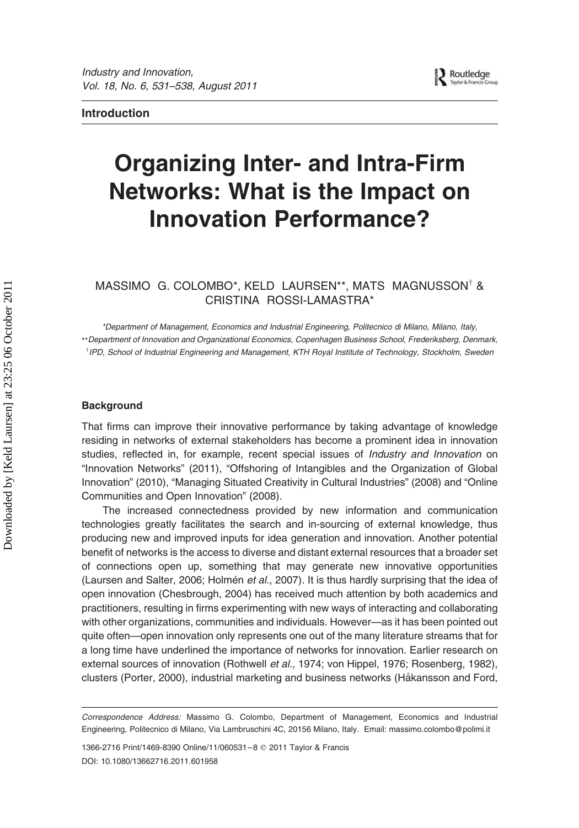#### Introduction

# Organizing Inter- and Intra-Firm Networks: What is the Impact on Innovation Performance?

#### MASSIMO G. COLOMBO\*, KELD LAURSEN\*\*, MATS MAGNUSSON† & CRISTINA ROSSI-LAMASTRA\*

\*Department of Management, Economics and Industrial Engineering, Politecnico di Milano, Milano, Italy, \*\*Department of Innovation and Organizational Economics, Copenhagen Business School, Frederiksberg, Denmark, † IPD, School of Industrial Engineering and Management, KTH Royal Institute of Technology, Stockholm, Sweden

#### **Background**

That firms can improve their innovative performance by taking advantage of knowledge residing in networks of external stakeholders has become a prominent idea in innovation studies, reflected in, for example, recent special issues of *Industry and Innovation* on "Innovation Networks" (2011), "Offshoring of Intangibles and the Organization of Global Innovation" (2010), "Managing Situated Creativity in Cultural Industries" (2008) and "Online Communities and Open Innovation" (2008).

The increased connectedness provided by new information and communication technologies greatly facilitates the search and in-sourcing of external knowledge, thus producing new and improved inputs for idea generation and innovation. Another potential benefit of networks is the access to diverse and distant external resources that a broader set of connections open up, something that may generate new innovative opportunities (Laursen and Salter, 2006; Holmén et al., 2007). It is thus hardly surprising that the idea of open innovation (Chesbrough, 2004) has received much attention by both academics and practitioners, resulting in firms experimenting with new ways of interacting and collaborating with other organizations, communities and individuals. However—as it has been pointed out quite often—open innovation only represents one out of the many literature streams that for a long time have underlined the importance of networks for innovation. Earlier research on external sources of innovation (Rothwell et al., 1974; von Hippel, 1976; Rosenberg, 1982), clusters (Porter, 2000), industrial marketing and business networks (Håkansson and Ford,

1366-2716 Print/1469-8390 Online/11/060531 –8 q 2011 Taylor & Francis DOI: 10.1080/13662716.2011.601958

Correspondence Address: Massimo G. Colombo, Department of Management, Economics and Industrial Engineering, Politecnico di Milano, Via Lambruschini 4C, 20156 Milano, Italy. Email: massimo.colombo@polimi.it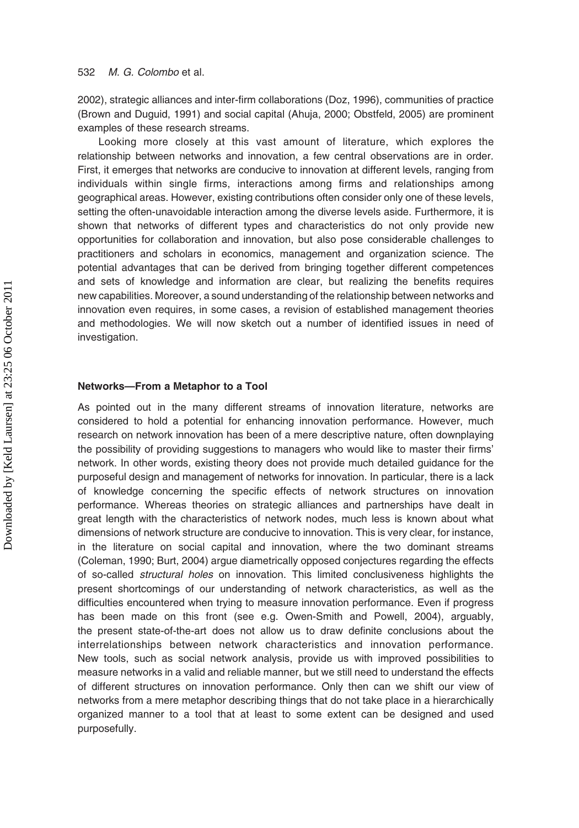2002), strategic alliances and inter-firm collaborations (Doz, 1996), communities of practice (Brown and Duguid, 1991) and social capital (Ahuja, 2000; Obstfeld, 2005) are prominent examples of these research streams.

Looking more closely at this vast amount of literature, which explores the relationship between networks and innovation, a few central observations are in order. First, it emerges that networks are conducive to innovation at different levels, ranging from individuals within single firms, interactions among firms and relationships among geographical areas. However, existing contributions often consider only one of these levels, setting the often-unavoidable interaction among the diverse levels aside. Furthermore, it is shown that networks of different types and characteristics do not only provide new opportunities for collaboration and innovation, but also pose considerable challenges to practitioners and scholars in economics, management and organization science. The potential advantages that can be derived from bringing together different competences and sets of knowledge and information are clear, but realizing the benefits requires new capabilities. Moreover, a sound understanding of the relationship between networks and innovation even requires, in some cases, a revision of established management theories and methodologies. We will now sketch out a number of identified issues in need of investigation.

#### Networks—From a Metaphor to a Tool

As pointed out in the many different streams of innovation literature, networks are considered to hold a potential for enhancing innovation performance. However, much research on network innovation has been of a mere descriptive nature, often downplaying the possibility of providing suggestions to managers who would like to master their firms' network. In other words, existing theory does not provide much detailed guidance for the purposeful design and management of networks for innovation. In particular, there is a lack of knowledge concerning the specific effects of network structures on innovation performance. Whereas theories on strategic alliances and partnerships have dealt in great length with the characteristics of network nodes, much less is known about what dimensions of network structure are conducive to innovation. This is very clear, for instance, in the literature on social capital and innovation, where the two dominant streams (Coleman, 1990; Burt, 2004) argue diametrically opposed conjectures regarding the effects of so-called structural holes on innovation. This limited conclusiveness highlights the present shortcomings of our understanding of network characteristics, as well as the difficulties encountered when trying to measure innovation performance. Even if progress has been made on this front (see e.g. Owen-Smith and Powell, 2004), arguably, the present state-of-the-art does not allow us to draw definite conclusions about the interrelationships between network characteristics and innovation performance. New tools, such as social network analysis, provide us with improved possibilities to measure networks in a valid and reliable manner, but we still need to understand the effects of different structures on innovation performance. Only then can we shift our view of networks from a mere metaphor describing things that do not take place in a hierarchically organized manner to a tool that at least to some extent can be designed and used purposefully.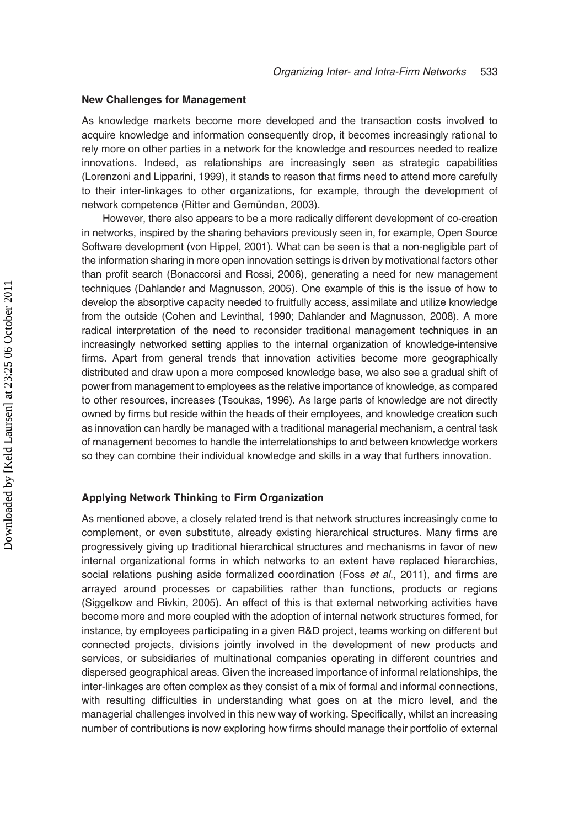#### New Challenges for Management

As knowledge markets become more developed and the transaction costs involved to acquire knowledge and information consequently drop, it becomes increasingly rational to rely more on other parties in a network for the knowledge and resources needed to realize innovations. Indeed, as relationships are increasingly seen as strategic capabilities (Lorenzoni and Lipparini, 1999), it stands to reason that firms need to attend more carefully to their inter-linkages to other organizations, for example, through the development of network competence (Ritter and Gemünden, 2003).

However, there also appears to be a more radically different development of co-creation in networks, inspired by the sharing behaviors previously seen in, for example, Open Source Software development (von Hippel, 2001). What can be seen is that a non-negligible part of the information sharing in more open innovation settings is driven by motivational factors other than profit search (Bonaccorsi and Rossi, 2006), generating a need for new management techniques (Dahlander and Magnusson, 2005). One example of this is the issue of how to develop the absorptive capacity needed to fruitfully access, assimilate and utilize knowledge from the outside (Cohen and Levinthal, 1990; Dahlander and Magnusson, 2008). A more radical interpretation of the need to reconsider traditional management techniques in an increasingly networked setting applies to the internal organization of knowledge-intensive firms. Apart from general trends that innovation activities become more geographically distributed and draw upon a more composed knowledge base, we also see a gradual shift of power from management to employees as the relative importance of knowledge, as compared to other resources, increases (Tsoukas, 1996). As large parts of knowledge are not directly owned by firms but reside within the heads of their employees, and knowledge creation such as innovation can hardly be managed with a traditional managerial mechanism, a central task of management becomes to handle the interrelationships to and between knowledge workers so they can combine their individual knowledge and skills in a way that furthers innovation.

#### Applying Network Thinking to Firm Organization

As mentioned above, a closely related trend is that network structures increasingly come to complement, or even substitute, already existing hierarchical structures. Many firms are progressively giving up traditional hierarchical structures and mechanisms in favor of new internal organizational forms in which networks to an extent have replaced hierarchies, social relations pushing aside formalized coordination (Foss et al., 2011), and firms are arrayed around processes or capabilities rather than functions, products or regions (Siggelkow and Rivkin, 2005). An effect of this is that external networking activities have become more and more coupled with the adoption of internal network structures formed, for instance, by employees participating in a given R&D project, teams working on different but connected projects, divisions jointly involved in the development of new products and services, or subsidiaries of multinational companies operating in different countries and dispersed geographical areas. Given the increased importance of informal relationships, the inter-linkages are often complex as they consist of a mix of formal and informal connections, with resulting difficulties in understanding what goes on at the micro level, and the managerial challenges involved in this new way of working. Specifically, whilst an increasing number of contributions is now exploring how firms should manage their portfolio of external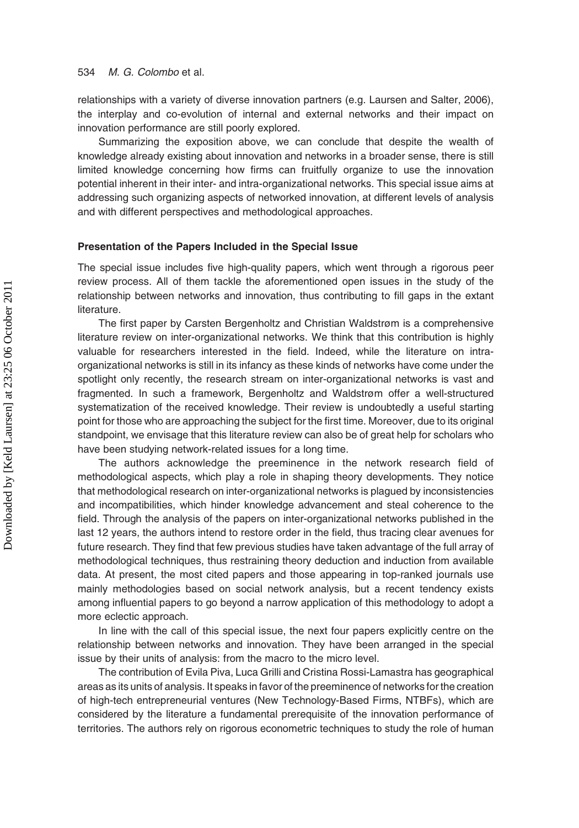relationships with a variety of diverse innovation partners (e.g. Laursen and Salter, 2006), the interplay and co-evolution of internal and external networks and their impact on innovation performance are still poorly explored.

Summarizing the exposition above, we can conclude that despite the wealth of knowledge already existing about innovation and networks in a broader sense, there is still limited knowledge concerning how firms can fruitfully organize to use the innovation potential inherent in their inter- and intra-organizational networks. This special issue aims at addressing such organizing aspects of networked innovation, at different levels of analysis and with different perspectives and methodological approaches.

#### Presentation of the Papers Included in the Special Issue

The special issue includes five high-quality papers, which went through a rigorous peer review process. All of them tackle the aforementioned open issues in the study of the relationship between networks and innovation, thus contributing to fill gaps in the extant literature.

The first paper by Carsten Bergenholtz and Christian Waldstrøm is a comprehensive literature review on inter-organizational networks. We think that this contribution is highly valuable for researchers interested in the field. Indeed, while the literature on intraorganizational networks is still in its infancy as these kinds of networks have come under the spotlight only recently, the research stream on inter-organizational networks is vast and fragmented. In such a framework, Bergenholtz and Waldstrøm offer a well-structured systematization of the received knowledge. Their review is undoubtedly a useful starting point for those who are approaching the subject for the first time. Moreover, due to its original standpoint, we envisage that this literature review can also be of great help for scholars who have been studying network-related issues for a long time.

The authors acknowledge the preeminence in the network research field of methodological aspects, which play a role in shaping theory developments. They notice that methodological research on inter-organizational networks is plagued by inconsistencies and incompatibilities, which hinder knowledge advancement and steal coherence to the field. Through the analysis of the papers on inter-organizational networks published in the last 12 years, the authors intend to restore order in the field, thus tracing clear avenues for future research. They find that few previous studies have taken advantage of the full array of methodological techniques, thus restraining theory deduction and induction from available data. At present, the most cited papers and those appearing in top-ranked journals use mainly methodologies based on social network analysis, but a recent tendency exists among influential papers to go beyond a narrow application of this methodology to adopt a more eclectic approach.

In line with the call of this special issue, the next four papers explicitly centre on the relationship between networks and innovation. They have been arranged in the special issue by their units of analysis: from the macro to the micro level.

The contribution of Evila Piva, Luca Grilli and Cristina Rossi-Lamastra has geographical areas as its units of analysis. It speaks in favor of the preeminence of networks for the creation of high-tech entrepreneurial ventures (New Technology-Based Firms, NTBFs), which are considered by the literature a fundamental prerequisite of the innovation performance of territories. The authors rely on rigorous econometric techniques to study the role of human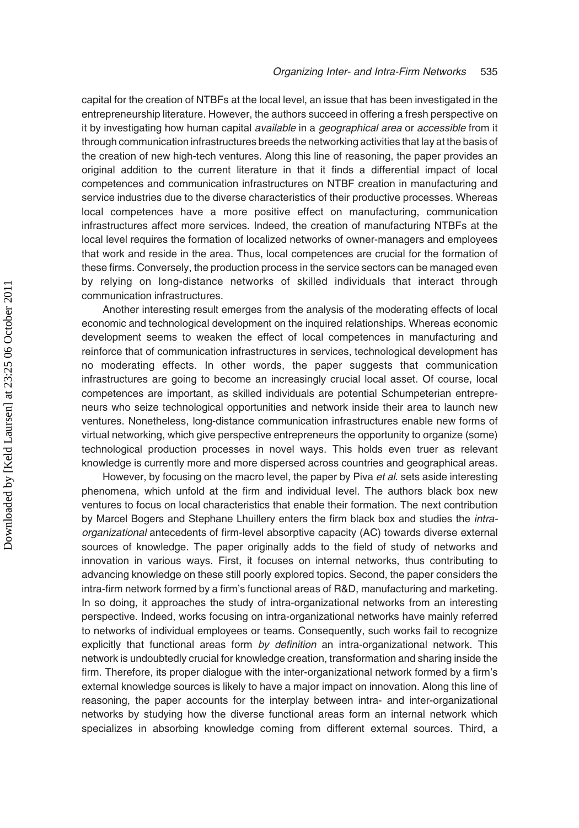capital for the creation of NTBFs at the local level, an issue that has been investigated in the entrepreneurship literature. However, the authors succeed in offering a fresh perspective on it by investigating how human capital *available* in a *geographical area* or *accessible* from it through communication infrastructures breeds the networking activities that lay at the basis of the creation of new high-tech ventures. Along this line of reasoning, the paper provides an original addition to the current literature in that it finds a differential impact of local competences and communication infrastructures on NTBF creation in manufacturing and service industries due to the diverse characteristics of their productive processes. Whereas local competences have a more positive effect on manufacturing, communication infrastructures affect more services. Indeed, the creation of manufacturing NTBFs at the local level requires the formation of localized networks of owner-managers and employees that work and reside in the area. Thus, local competences are crucial for the formation of these firms. Conversely, the production process in the service sectors can be managed even by relying on long-distance networks of skilled individuals that interact through communication infrastructures.

Another interesting result emerges from the analysis of the moderating effects of local economic and technological development on the inquired relationships. Whereas economic development seems to weaken the effect of local competences in manufacturing and reinforce that of communication infrastructures in services, technological development has no moderating effects. In other words, the paper suggests that communication infrastructures are going to become an increasingly crucial local asset. Of course, local competences are important, as skilled individuals are potential Schumpeterian entrepreneurs who seize technological opportunities and network inside their area to launch new ventures. Nonetheless, long-distance communication infrastructures enable new forms of virtual networking, which give perspective entrepreneurs the opportunity to organize (some) technological production processes in novel ways. This holds even truer as relevant knowledge is currently more and more dispersed across countries and geographical areas.

However, by focusing on the macro level, the paper by Piva et al. sets aside interesting phenomena, which unfold at the firm and individual level. The authors black box new ventures to focus on local characteristics that enable their formation. The next contribution by Marcel Bogers and Stephane Lhuillery enters the firm black box and studies the intraorganizational antecedents of firm-level absorptive capacity (AC) towards diverse external sources of knowledge. The paper originally adds to the field of study of networks and innovation in various ways. First, it focuses on internal networks, thus contributing to advancing knowledge on these still poorly explored topics. Second, the paper considers the intra-firm network formed by a firm's functional areas of R&D, manufacturing and marketing. In so doing, it approaches the study of intra-organizational networks from an interesting perspective. Indeed, works focusing on intra-organizational networks have mainly referred to networks of individual employees or teams. Consequently, such works fail to recognize explicitly that functional areas form by definition an intra-organizational network. This network is undoubtedly crucial for knowledge creation, transformation and sharing inside the firm. Therefore, its proper dialogue with the inter-organizational network formed by a firm's external knowledge sources is likely to have a major impact on innovation. Along this line of reasoning, the paper accounts for the interplay between intra- and inter-organizational networks by studying how the diverse functional areas form an internal network which specializes in absorbing knowledge coming from different external sources. Third, a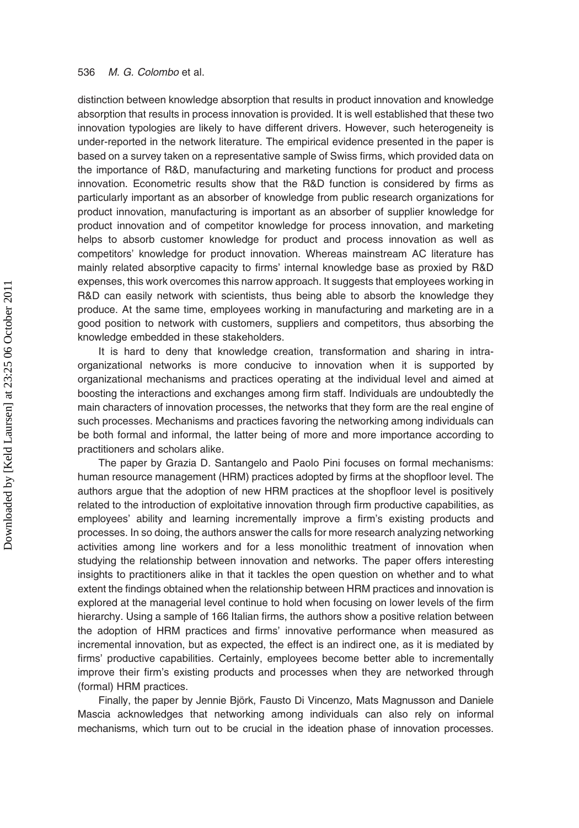#### 536 M. G. Colombo et al.

distinction between knowledge absorption that results in product innovation and knowledge absorption that results in process innovation is provided. It is well established that these two innovation typologies are likely to have different drivers. However, such heterogeneity is under-reported in the network literature. The empirical evidence presented in the paper is based on a survey taken on a representative sample of Swiss firms, which provided data on the importance of R&D, manufacturing and marketing functions for product and process innovation. Econometric results show that the R&D function is considered by firms as particularly important as an absorber of knowledge from public research organizations for product innovation, manufacturing is important as an absorber of supplier knowledge for product innovation and of competitor knowledge for process innovation, and marketing helps to absorb customer knowledge for product and process innovation as well as competitors' knowledge for product innovation. Whereas mainstream AC literature has mainly related absorptive capacity to firms' internal knowledge base as proxied by R&D expenses, this work overcomes this narrow approach. It suggests that employees working in R&D can easily network with scientists, thus being able to absorb the knowledge they produce. At the same time, employees working in manufacturing and marketing are in a good position to network with customers, suppliers and competitors, thus absorbing the knowledge embedded in these stakeholders.

It is hard to deny that knowledge creation, transformation and sharing in intraorganizational networks is more conducive to innovation when it is supported by organizational mechanisms and practices operating at the individual level and aimed at boosting the interactions and exchanges among firm staff. Individuals are undoubtedly the main characters of innovation processes, the networks that they form are the real engine of such processes. Mechanisms and practices favoring the networking among individuals can be both formal and informal, the latter being of more and more importance according to practitioners and scholars alike.

The paper by Grazia D. Santangelo and Paolo Pini focuses on formal mechanisms: human resource management (HRM) practices adopted by firms at the shopfloor level. The authors argue that the adoption of new HRM practices at the shopfloor level is positively related to the introduction of exploitative innovation through firm productive capabilities, as employees' ability and learning incrementally improve a firm's existing products and processes. In so doing, the authors answer the calls for more research analyzing networking activities among line workers and for a less monolithic treatment of innovation when studying the relationship between innovation and networks. The paper offers interesting insights to practitioners alike in that it tackles the open question on whether and to what extent the findings obtained when the relationship between HRM practices and innovation is explored at the managerial level continue to hold when focusing on lower levels of the firm hierarchy. Using a sample of 166 Italian firms, the authors show a positive relation between the adoption of HRM practices and firms' innovative performance when measured as incremental innovation, but as expected, the effect is an indirect one, as it is mediated by firms' productive capabilities. Certainly, employees become better able to incrementally improve their firm's existing products and processes when they are networked through (formal) HRM practices.

Finally, the paper by Jennie Björk, Fausto Di Vincenzo, Mats Magnusson and Daniele Mascia acknowledges that networking among individuals can also rely on informal mechanisms, which turn out to be crucial in the ideation phase of innovation processes.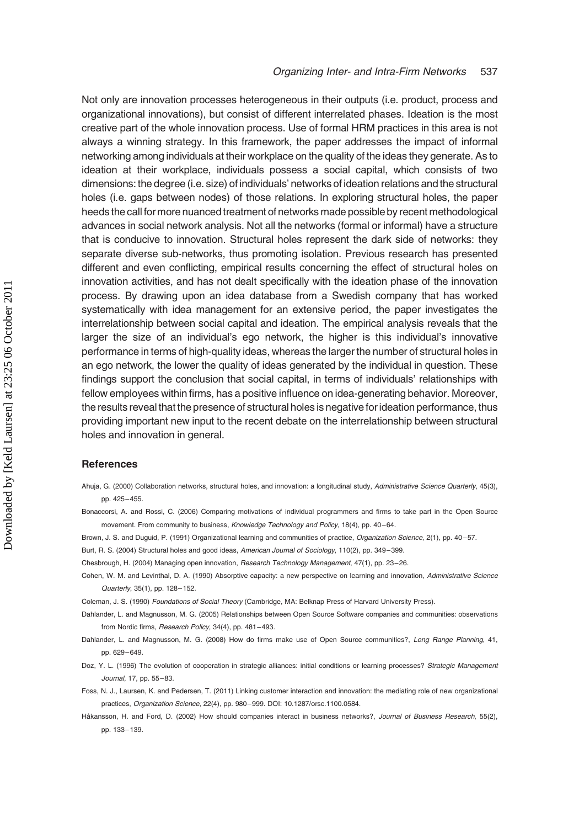Not only are innovation processes heterogeneous in their outputs (i.e. product, process and organizational innovations), but consist of different interrelated phases. Ideation is the most creative part of the whole innovation process. Use of formal HRM practices in this area is not always a winning strategy. In this framework, the paper addresses the impact of informal networking among individuals at their workplace on the quality of the ideas they generate. As to ideation at their workplace, individuals possess a social capital, which consists of two dimensions: the degree (i.e. size) of individuals' networks of ideation relations and the structural holes (i.e. gaps between nodes) of those relations. In exploring structural holes, the paper heeds the call for more nuanced treatment of networks made possible by recent methodological advances in social network analysis. Not all the networks (formal or informal) have a structure that is conducive to innovation. Structural holes represent the dark side of networks: they separate diverse sub-networks, thus promoting isolation. Previous research has presented different and even conflicting, empirical results concerning the effect of structural holes on innovation activities, and has not dealt specifically with the ideation phase of the innovation process. By drawing upon an idea database from a Swedish company that has worked systematically with idea management for an extensive period, the paper investigates the interrelationship between social capital and ideation. The empirical analysis reveals that the larger the size of an individual's ego network, the higher is this individual's innovative performance in terms of high-quality ideas, whereas the larger the number of structural holes in an ego network, the lower the quality of ideas generated by the individual in question. These findings support the conclusion that social capital, in terms of individuals' relationships with fellow employees within firms, has a positive influence on idea-generating behavior. Moreover, the results reveal that the presence of structural holes is negative for ideation performance, thus providing important new input to the recent debate on the interrelationship between structural holes and innovation in general.

#### References

- Ahuja, G. (2000) Collaboration networks, structural holes, and innovation: a longitudinal study, Administrative Science Quarterly, 45(3), pp. 425–455.
- Bonaccorsi, A. and Rossi, C. (2006) Comparing motivations of individual programmers and firms to take part in the Open Source movement. From community to business, Knowledge Technology and Policy, 18(4), pp. 40-64.
- Brown, J. S. and Duguid, P. (1991) Organizational learning and communities of practice, Organization Science, 2(1), pp. 40–57.

Burt, R. S. (2004) Structural holes and good ideas, American Journal of Sociology, 110(2), pp. 349-399.

Chesbrough, H. (2004) Managing open innovation, Research Technology Management, 47(1), pp. 23–26.

Cohen, W. M. and Levinthal, D. A. (1990) Absorptive capacity: a new perspective on learning and innovation, Administrative Science Quarterly, 35(1), pp. 128–152.

- Dahlander, L. and Magnusson, M. G. (2005) Relationships between Open Source Software companies and communities: observations from Nordic firms, Research Policy, 34(4), pp. 481–493.
- Dahlander, L. and Magnusson, M. G. (2008) How do firms make use of Open Source communities?, Long Range Planning, 41, pp. 629–649.
- Doz, Y. L. (1996) The evolution of cooperation in strategic alliances: initial conditions or learning processes? Strategic Management Journal, 17, pp. 55–83.
- Foss, N. J., Laursen, K. and Pedersen, T. (2011) Linking customer interaction and innovation: the mediating role of new organizational practices, Organization Science, 22(4), pp. 980–999. DOI: 10.1287/orsc.1100.0584.
- Håkansson, H. and Ford, D. (2002) How should companies interact in business networks?, Journal of Business Research, 55(2) pp. 133–139.

Coleman, J. S. (1990) Foundations of Social Theory (Cambridge, MA: Belknap Press of Harvard University Press).